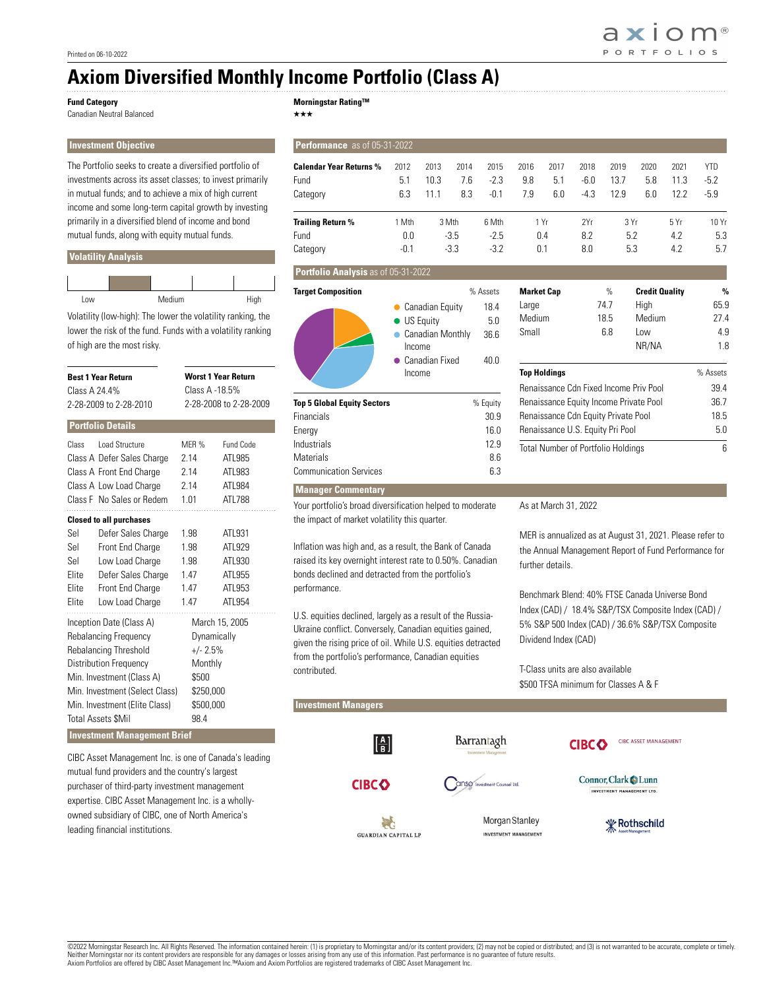axiom® **PORTFOLIOS** 

# **Axiom Diversified Monthly Income Portfolio (Class A)**

#### **Fund Category**

Canadian Neutral Balanced

**Morningstar Rating™**

**Investment Objective** The Portfolio seeks to create a diversified portfolio of investments across its asset classes; to invest primarily in mutual funds; and to achieve a mix of high current income and some long-term capital growth by investing primarily in a diversified blend of income and bond mutual funds, along with equity mutual funds.

### **Volatility Analysis**

| Low | Medium | High |
|-----|--------|------|

Volatility (low-high): The lower the volatility ranking, the lower the risk of the fund. Funds with a volatility ranking of high are the most risky.

| Class A 24.4%                                                                                                                                                                                                                     | <b>Best 1 Year Return</b><br>2-28-2009 to 2-28-2010                                                                                                      | <b>Worst 1 Year Return</b><br>Class A -18.5%<br>2-28-2008 to 2-28-2009          |                                                          |  |  |  |
|-----------------------------------------------------------------------------------------------------------------------------------------------------------------------------------------------------------------------------------|----------------------------------------------------------------------------------------------------------------------------------------------------------|---------------------------------------------------------------------------------|----------------------------------------------------------|--|--|--|
|                                                                                                                                                                                                                                   | <b>Portfolio Details</b>                                                                                                                                 |                                                                                 |                                                          |  |  |  |
| Class                                                                                                                                                                                                                             | Load Structure<br>Class A Defer Sales Charge<br>Class A Front End Charge<br>Class A Low Load Charge<br>Class F No Sales or Redem                         | MFR %<br>2.14<br>2.14<br>2.14<br>1.01                                           | Fund Code<br>ATL985<br>ATL983<br>ATL984<br>ATL788        |  |  |  |
| Sel<br>Sel<br>Sel<br>Elite<br>Elite<br>Elite                                                                                                                                                                                      | <b>Closed to all purchases</b><br>Defer Sales Charge<br>Front End Charge<br>Low Load Charge<br>Defer Sales Charge<br>Front End Charge<br>Low Load Charge | 1.98<br>1.98<br>1.98<br>1.47<br>1.47<br>1.47                                    | ATL931<br>ATL929<br>ATL930<br>ATL955<br>ATL953<br>ATL954 |  |  |  |
| Inception Date (Class A)<br>Rebalancing Frequency<br>Rebalancing Threshold<br>Distribution Frequency<br>Min. Investment (Class A)<br>Min. Investment (Select Class)<br>Min. Investment (Elite Class)<br><b>Total Assets \$Mil</b> |                                                                                                                                                          | Dynamically<br>$+/- 2.5%$<br>Monthly<br>\$500<br>\$250,000<br>\$500,000<br>98.4 | March 15, 2005                                           |  |  |  |
|                                                                                                                                                                                                                                   | <b>Investment Management Brief</b>                                                                                                                       |                                                                                 |                                                          |  |  |  |

CIBC Asset Management Inc. is one of Canada's leading

mutual fund providers and the country's largest purchaser of third-party investment management expertise. CIBC Asset Management Inc. is a whollyowned subsidiary of CIBC, one of North America's leading financial institutions.

## $\star\star\star$

| Performance as of 05-31-2022                                                                                                                                              |                                                         |                                                                                                                                                                                                                                                                                                   |                           |                                                                                           |                                               |                      |                          |                                                                                                                                                                                                                                         |                                                         |                      |                                                                                    |
|---------------------------------------------------------------------------------------------------------------------------------------------------------------------------|---------------------------------------------------------|---------------------------------------------------------------------------------------------------------------------------------------------------------------------------------------------------------------------------------------------------------------------------------------------------|---------------------------|-------------------------------------------------------------------------------------------|-----------------------------------------------|----------------------|--------------------------|-----------------------------------------------------------------------------------------------------------------------------------------------------------------------------------------------------------------------------------------|---------------------------------------------------------|----------------------|------------------------------------------------------------------------------------|
| <b>Calendar Year Returns %</b><br>Fund                                                                                                                                    | 2012<br>5.1<br>6.3                                      | 2013<br>10.3<br>11.1                                                                                                                                                                                                                                                                              | 2014<br>7.6<br>8.3        | 2015<br>$-2.3$<br>$-0.1$                                                                  | 2016<br>9.8<br>7.9                            | 2017<br>5.1<br>6.0   | 2018<br>$-6.0$<br>$-4.3$ | 2019<br>13.7<br>12.9                                                                                                                                                                                                                    | 2020<br>5.8<br>6.0                                      | 2021<br>11.3<br>12.2 | <b>YTD</b><br>$-5.2$<br>$-5.9$                                                     |
| Category                                                                                                                                                                  |                                                         |                                                                                                                                                                                                                                                                                                   |                           |                                                                                           |                                               |                      |                          |                                                                                                                                                                                                                                         |                                                         |                      |                                                                                    |
| <b>Trailing Return %</b><br>Fund<br>Category                                                                                                                              | 1 Mth<br>0.0<br>$-0.1$                                  |                                                                                                                                                                                                                                                                                                   | 3 Mth<br>$-3.5$<br>$-3.3$ | 6 Mth<br>$-2.5$<br>$-3.2$                                                                 |                                               | 1 Yr<br>0.4<br>0.1   | 2Yr<br>8.2<br>8.0        | 3 Yr<br>5.2<br>5.3                                                                                                                                                                                                                      |                                                         | 5 Yr<br>4.2<br>4.2   | 10 Yr<br>5.3<br>5.7                                                                |
| Portfolio Analysis as of 05-31-2022                                                                                                                                       |                                                         |                                                                                                                                                                                                                                                                                                   |                           |                                                                                           |                                               |                      |                          |                                                                                                                                                                                                                                         |                                                         |                      |                                                                                    |
| <b>Target Composition</b><br><b>Top 5 Global Equity Sectors</b><br>Financials<br>Energy<br>Industrials<br><b>Materials</b><br><b>Communication Services</b>               | $\bullet$<br>$\bullet$<br>$\bullet$<br>Income<br>Income | Canadian Equity<br><b>US Equity</b><br><b>Canadian Monthly</b><br>• Canadian Fixed                                                                                                                                                                                                                |                           | % Assets<br>18.4<br>5.0<br>36.6<br>40.0<br>% Equity<br>30.9<br>16.0<br>12.9<br>8.6<br>6.3 | <b>Market Cap</b><br>Large<br>Medium<br>Small | <b>Top Holdings</b>  |                          | $\%$<br>74.7<br>18.5<br>6.8<br>Renaissance Cdn Fixed Income Priv Pool<br>Renaissance Equity Income Private Pool<br>Renaissance Cdn Equity Private Pool<br>Renaissance U.S. Equity Pri Pool<br><b>Total Number of Portfolio Holdings</b> | <b>Credit Quality</b><br>High<br>Medium<br>Low<br>NR/NA |                      | $\%$<br>65.9<br>27.4<br>4.9<br>1.8<br>% Assets<br>39.4<br>36.7<br>18.5<br>5.0<br>6 |
| <b>Manager Commentary</b>                                                                                                                                                 |                                                         |                                                                                                                                                                                                                                                                                                   |                           |                                                                                           |                                               |                      |                          |                                                                                                                                                                                                                                         |                                                         |                      |                                                                                    |
| Your portfolio's broad diversification helped to moderate<br>the impact of market volatility this quarter.                                                                |                                                         |                                                                                                                                                                                                                                                                                                   |                           |                                                                                           |                                               | As at March 31, 2022 |                          |                                                                                                                                                                                                                                         |                                                         |                      |                                                                                    |
| Inflation was high and, as a result, the Bank of Canada<br>raised its key overnight interest rate to 0.50%. Canadian<br>bonds declined and detracted from the portfolio's |                                                         | MER is annualized as at August 31, 2021. Please refer to<br>the Annual Management Report of Fund Performance for<br>further details.<br>Benchmark Blend: 40% FTSE Canada Universe Bond<br>Index (CAD) / 18.4% S&P/TSX Composite Index (CAD) /<br>5% S&P 500 Index (CAD) / 36.6% S&P/TSX Composite |                           |                                                                                           |                                               |                      |                          |                                                                                                                                                                                                                                         |                                                         |                      |                                                                                    |
| performance.<br>U.S. equities declined, largely as a result of the Russia-<br>Ilkraine conflict, Conversely, Canadian equities gained.                                    |                                                         |                                                                                                                                                                                                                                                                                                   |                           |                                                                                           |                                               |                      |                          |                                                                                                                                                                                                                                         |                                                         |                      |                                                                                    |

Ukraine conflict. Conversely, Canadian equities gained, given the rising price of oil. While U.S. equities detracted from the portfolio's performance, Canadian equities contributed.

**Investment Managers** 

Dividend Index (CAD)

T-Class units are also available \$500 TFSA minimum for Classes A & F

 $\left| \frac{A}{B} \right|$ Barrantagh CIBC ASSET MANAGEMENT **CIBCO** Connor, Clark Lunn **CIBCO** Canso Investment Counsel Ltd. INVESTMENT MANAGEMENT LTD. Morgan Stanley **W** Rothschild रेंट **GUARDIAN CAPITAL LP** INVESTMENT MANAGEMENT